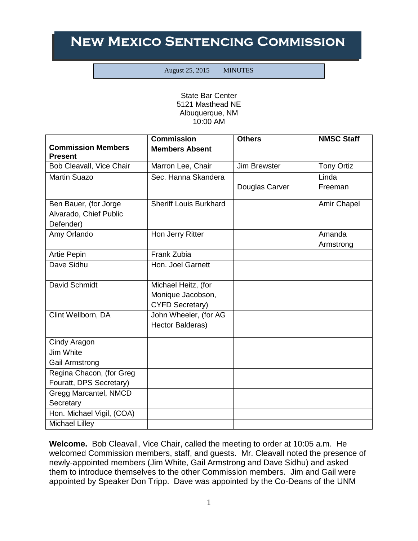## **New Mexico Sentencing Commission**

August 25, 2015 MINUTES

State Bar Center 5121 Masthead NE Albuquerque, NM 10:00 AM

|                                             | <b>Commission</b>             | <b>Others</b>       | <b>NMSC Staff</b> |
|---------------------------------------------|-------------------------------|---------------------|-------------------|
| <b>Commission Members</b><br><b>Present</b> | <b>Members Absent</b>         |                     |                   |
| Bob Cleavall, Vice Chair                    | Marron Lee, Chair             | <b>Jim Brewster</b> | <b>Tony Ortiz</b> |
| <b>Martin Suazo</b>                         | Sec. Hanna Skandera           |                     | Linda             |
|                                             |                               | Douglas Carver      | Freeman           |
| Ben Bauer, (for Jorge                       | <b>Sheriff Louis Burkhard</b> |                     | Amir Chapel       |
| Alvarado, Chief Public<br>Defender)         |                               |                     |                   |
| Amy Orlando                                 | Hon Jerry Ritter              |                     | Amanda            |
|                                             |                               |                     | Armstrong         |
| Artie Pepin                                 | Frank Zubia                   |                     |                   |
| Dave Sidhu                                  | Hon. Joel Garnett             |                     |                   |
| David Schmidt                               | Michael Heitz, (for           |                     |                   |
|                                             | Monique Jacobson,             |                     |                   |
|                                             | <b>CYFD Secretary)</b>        |                     |                   |
| Clint Wellborn, DA                          | John Wheeler, (for AG         |                     |                   |
|                                             | Hector Balderas)              |                     |                   |
| Cindy Aragon                                |                               |                     |                   |
| Jim White                                   |                               |                     |                   |
| Gail Armstrong                              |                               |                     |                   |
| Regina Chacon, (for Greg                    |                               |                     |                   |
| Fouratt, DPS Secretary)                     |                               |                     |                   |
| Gregg Marcantel, NMCD                       |                               |                     |                   |
| Secretary                                   |                               |                     |                   |
| Hon. Michael Vigil, (COA)                   |                               |                     |                   |
| <b>Michael Lilley</b>                       |                               |                     |                   |

**Welcome.** Bob Cleavall, Vice Chair, called the meeting to order at 10:05 a.m. He welcomed Commission members, staff, and guests. Mr. Cleavall noted the presence of newly-appointed members (Jim White, Gail Armstrong and Dave Sidhu) and asked them to introduce themselves to the other Commission members. Jim and Gail were appointed by Speaker Don Tripp. Dave was appointed by the Co-Deans of the UNM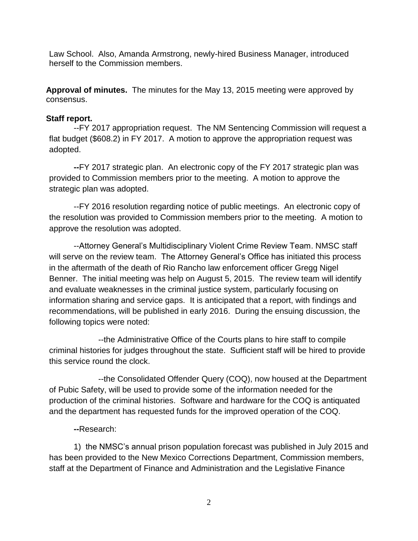Law School. Also, Amanda Armstrong, newly-hired Business Manager, introduced herself to the Commission members.

**Approval of minutes.** The minutes for the May 13, 2015 meeting were approved by consensus.

## **Staff report.**

--FY 2017 appropriation request. The NM Sentencing Commission will request a flat budget (\$608.2) in FY 2017. A motion to approve the appropriation request was adopted.

**--**FY 2017 strategic plan. An electronic copy of the FY 2017 strategic plan was provided to Commission members prior to the meeting. A motion to approve the strategic plan was adopted.

--FY 2016 resolution regarding notice of public meetings. An electronic copy of the resolution was provided to Commission members prior to the meeting. A motion to approve the resolution was adopted.

--Attorney General's Multidisciplinary Violent Crime Review Team. NMSC staff will serve on the review team. The Attorney General's Office has initiated this process in the aftermath of the death of Rio Rancho law enforcement officer Gregg Nigel Benner. The initial meeting was help on August 5, 2015. The review team will identify and evaluate weaknesses in the criminal justice system, particularly focusing on information sharing and service gaps. It is anticipated that a report, with findings and recommendations, will be published in early 2016. During the ensuing discussion, the following topics were noted:

--the Administrative Office of the Courts plans to hire staff to compile criminal histories for judges throughout the state. Sufficient staff will be hired to provide this service round the clock.

--the Consolidated Offender Query (COQ), now housed at the Department of Pubic Safety, will be used to provide some of the information needed for the production of the criminal histories. Software and hardware for the COQ is antiquated and the department has requested funds for the improved operation of the COQ.

## **--**Research:

1) the NMSC's annual prison population forecast was published in July 2015 and has been provided to the New Mexico Corrections Department, Commission members, staff at the Department of Finance and Administration and the Legislative Finance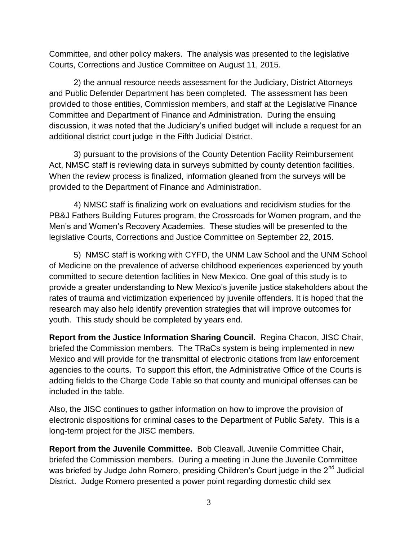Committee, and other policy makers. The analysis was presented to the legislative Courts, Corrections and Justice Committee on August 11, 2015.

2) the annual resource needs assessment for the Judiciary, District Attorneys and Public Defender Department has been completed. The assessment has been provided to those entities, Commission members, and staff at the Legislative Finance Committee and Department of Finance and Administration. During the ensuing discussion, it was noted that the Judiciary's unified budget will include a request for an additional district court judge in the Fifth Judicial District.

3) pursuant to the provisions of the County Detention Facility Reimbursement Act, NMSC staff is reviewing data in surveys submitted by county detention facilities. When the review process is finalized, information gleaned from the surveys will be provided to the Department of Finance and Administration.

4) NMSC staff is finalizing work on evaluations and recidivism studies for the PB&J Fathers Building Futures program, the Crossroads for Women program, and the Men's and Women's Recovery Academies. These studies will be presented to the legislative Courts, Corrections and Justice Committee on September 22, 2015.

5) NMSC staff is working with CYFD, the UNM Law School and the UNM School of Medicine on the prevalence of adverse childhood experiences experienced by youth committed to secure detention facilities in New Mexico. One goal of this study is to provide a greater understanding to New Mexico's juvenile justice stakeholders about the rates of trauma and victimization experienced by juvenile offenders. It is hoped that the research may also help identify prevention strategies that will improve outcomes for youth. This study should be completed by years end.

**Report from the Justice Information Sharing Council.** Regina Chacon, JISC Chair, briefed the Commission members. The TRaCs system is being implemented in new Mexico and will provide for the transmittal of electronic citations from law enforcement agencies to the courts. To support this effort, the Administrative Office of the Courts is adding fields to the Charge Code Table so that county and municipal offenses can be included in the table.

Also, the JISC continues to gather information on how to improve the provision of electronic dispositions for criminal cases to the Department of Public Safety. This is a long-term project for the JISC members.

**Report from the Juvenile Committee.** Bob Cleavall, Juvenile Committee Chair, briefed the Commission members. During a meeting in June the Juvenile Committee was briefed by Judge John Romero, presiding Children's Court judge in the 2<sup>nd</sup> Judicial District. Judge Romero presented a power point regarding domestic child sex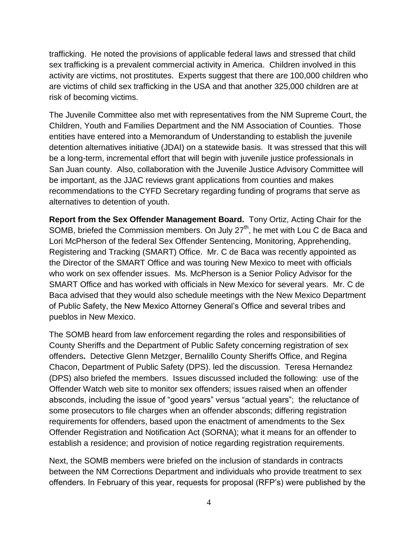trafficking. He noted the provisions of applicable federal laws and stressed that child sex trafficking is a prevalent commercial activity in America. Children involved in this activity are victims, not prostitutes. Experts suggest that there are 100,000 children who are victims of child sex trafficking in the USA and that another 325,000 children are at risk of becoming victims.

The Juvenile Committee also met with representatives from the NM Supreme Court, the Children, Youth and Families Department and the NM Association of Counties. Those entities have entered into a Memorandum of Understanding to establish the juvenile detention alternatives initiative (JDAI) on a statewide basis. It was stressed that this will be a long-term, incremental effort that will begin with juvenile justice professionals in San Juan county. Also, collaboration with the Juvenile Justice Advisory Committee will be important, as the JJAC reviews grant applications from counties and makes recommendations to the CYFD Secretary regarding funding of programs that serve as alternatives to detention of youth.

**Report from the Sex Offender Management Board.** Tony Ortiz, Acting Chair for the SOMB, briefed the Commission members. On July  $27<sup>th</sup>$ , he met with Lou C de Baca and Lori McPherson of the federal Sex Offender Sentencing, Monitoring, Apprehending, Registering and Tracking (SMART) Office. Mr. C de Baca was recently appointed as the Director of the SMART Office and was touring New Mexico to meet with officials who work on sex offender issues. Ms. McPherson is a Senior Policy Advisor for the SMART Office and has worked with officials in New Mexico for several years. Mr. C de Baca advised that they would also schedule meetings with the New Mexico Department of Public Safety, the New Mexico Attorney General's Office and several tribes and pueblos in New Mexico.

The SOMB heard from law enforcement regarding the roles and responsibilities of County Sheriffs and the Department of Public Safety concerning registration of sex offenders**.** Detective Glenn Metzger, Bernalillo County Sheriffs Office, and Regina Chacon, Department of Public Safety (DPS). led the discussion. Teresa Hernandez (DPS) also briefed the members. Issues discussed included the following: use of the Offender Watch web site to monitor sex offenders; issues raised when an offender absconds, including the issue of "good years" versus "actual years"; the reluctance of some prosecutors to file charges when an offender absconds; differing registration requirements for offenders, based upon the enactment of amendments to the Sex Offender Registration and Notification Act (SORNA); what it means for an offender to establish a residence; and provision of notice regarding registration requirements.

Next, the SOMB members were briefed on the inclusion of standards in contracts between the NM Corrections Department and individuals who provide treatment to sex offenders. In February of this year, requests for proposal (RFP's) were published by the